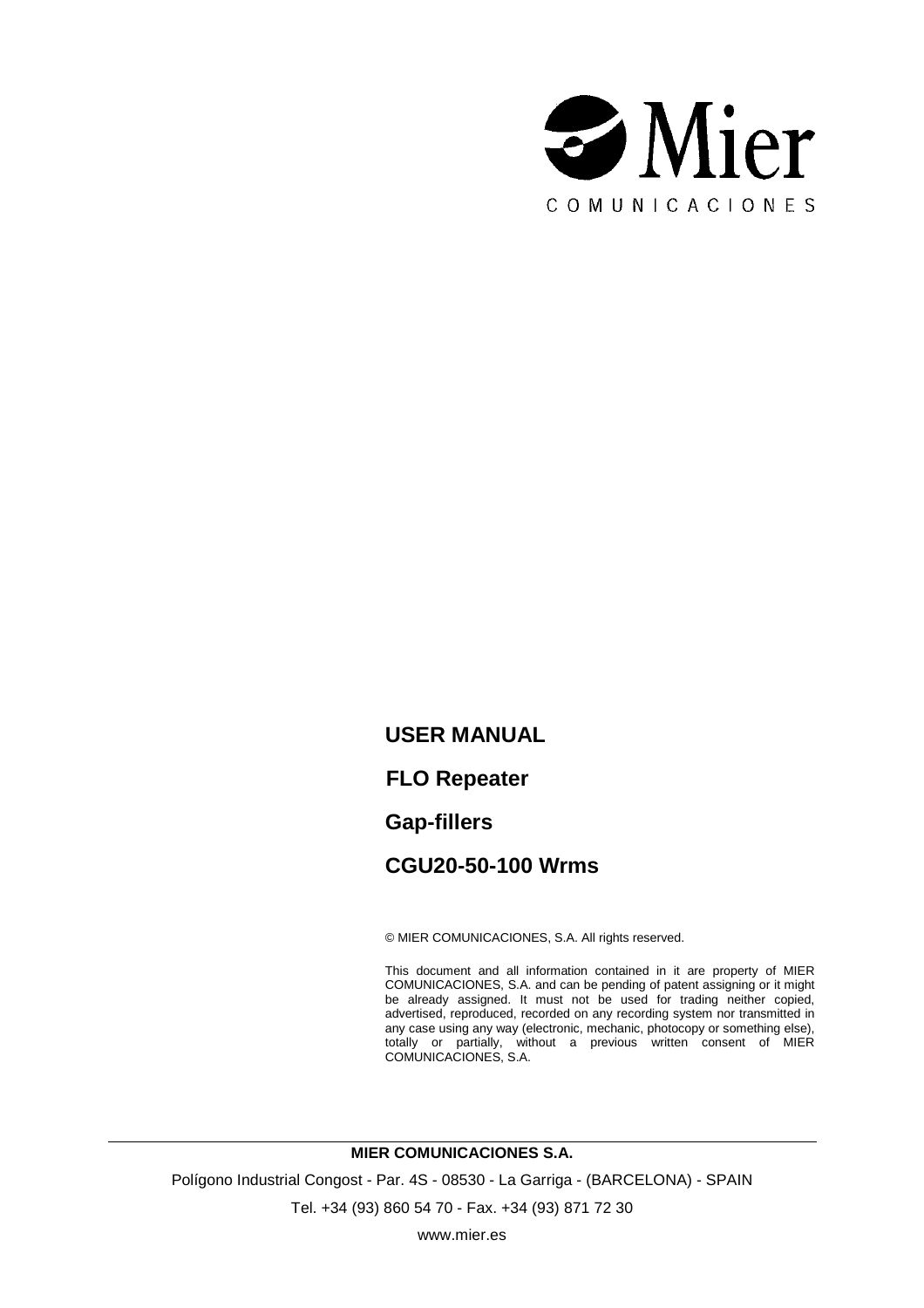

**USER MANUAL FLO Repeater Gap-fillers CGU20-50-100 Wrms**

© MIER COMUNICACIONES, S.A. All rights reserved.

This document and all information contained in it are property of MIER COMUNICACIONES, S.A. and can be pending of patent assigning or it might be already assigned. It must not be used for trading neither copied, advertised, reproduced, recorded on any recording system nor transmitted in any case using any way (electronic, mechanic, photocopy or something else), totally or partially, without a previous written consent of MIER COMUNICACIONES, S.A.

**MIER COMUNICACIONES S.A.**

Polígono Industrial Congost - Par. 4S - 08530 - La Garriga - (BARCELONA) - SPAIN

Tel. +34 (93) 860 54 70 - Fax. +34 (93) 871 72 30

www.mier.es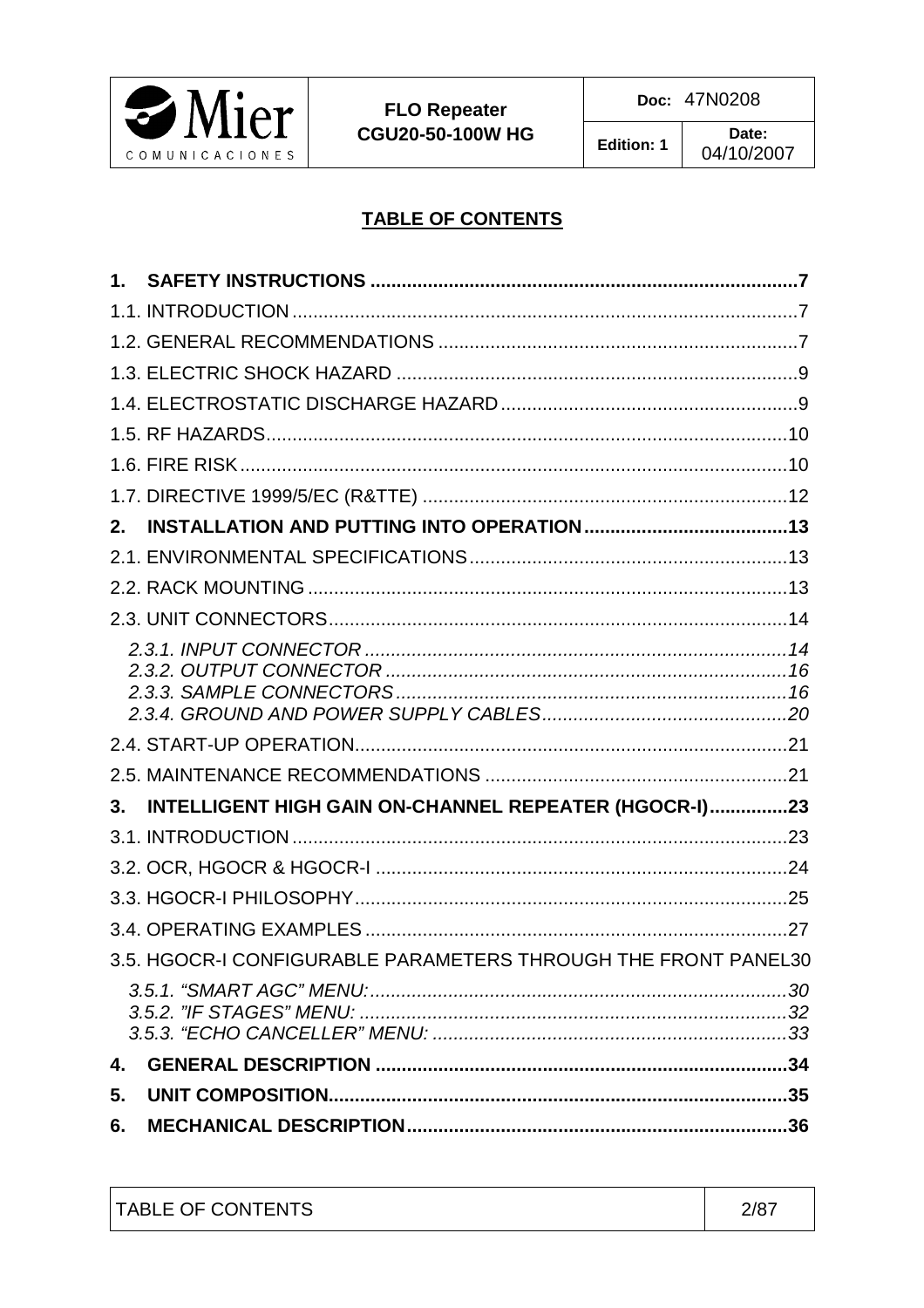

## **TABLE OF CONTENTS**

| $2_{-}$ |                                                                |  |
|---------|----------------------------------------------------------------|--|
|         |                                                                |  |
|         |                                                                |  |
|         |                                                                |  |
|         |                                                                |  |
|         |                                                                |  |
|         |                                                                |  |
| $3_{-}$ | INTELLIGENT HIGH GAIN ON-CHANNEL REPEATER (HGOCR-I)23          |  |
|         |                                                                |  |
|         |                                                                |  |
|         |                                                                |  |
|         |                                                                |  |
|         | 3.5. HGOCR-I CONFIGURABLE PARAMETERS THROUGH THE FRONT PANEL30 |  |
|         |                                                                |  |
| 4.      |                                                                |  |
| 5.      |                                                                |  |
| 6.      |                                                                |  |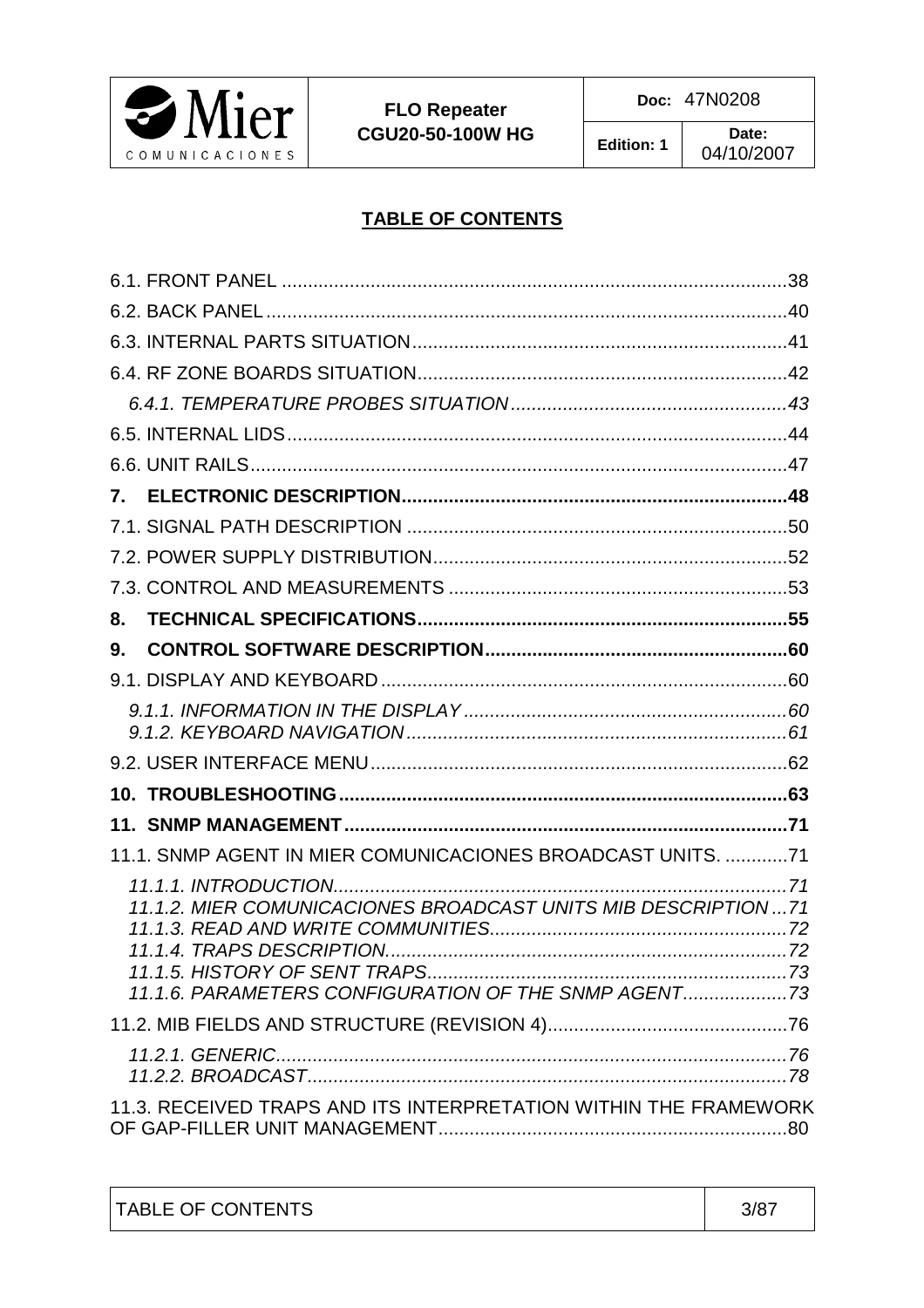

#### **TABLE OF CONTENTS**

| 8.                                                                                                                    |  |
|-----------------------------------------------------------------------------------------------------------------------|--|
| 9.                                                                                                                    |  |
|                                                                                                                       |  |
|                                                                                                                       |  |
|                                                                                                                       |  |
|                                                                                                                       |  |
|                                                                                                                       |  |
| 11.1. SNMP AGENT IN MIER COMUNICACIONES BROADCAST UNITS. 71                                                           |  |
| 11.1.2. MIER COMUNICACIONES BROADCAST UNITS MIB DESCRIPTION  71<br>11.1.6. PARAMETERS CONFIGURATION OF THE SNMP AGENT |  |
|                                                                                                                       |  |
|                                                                                                                       |  |
| 11.3. RECEIVED TRAPS AND ITS INTERPRETATION WITHIN THE FRAMEWORK                                                      |  |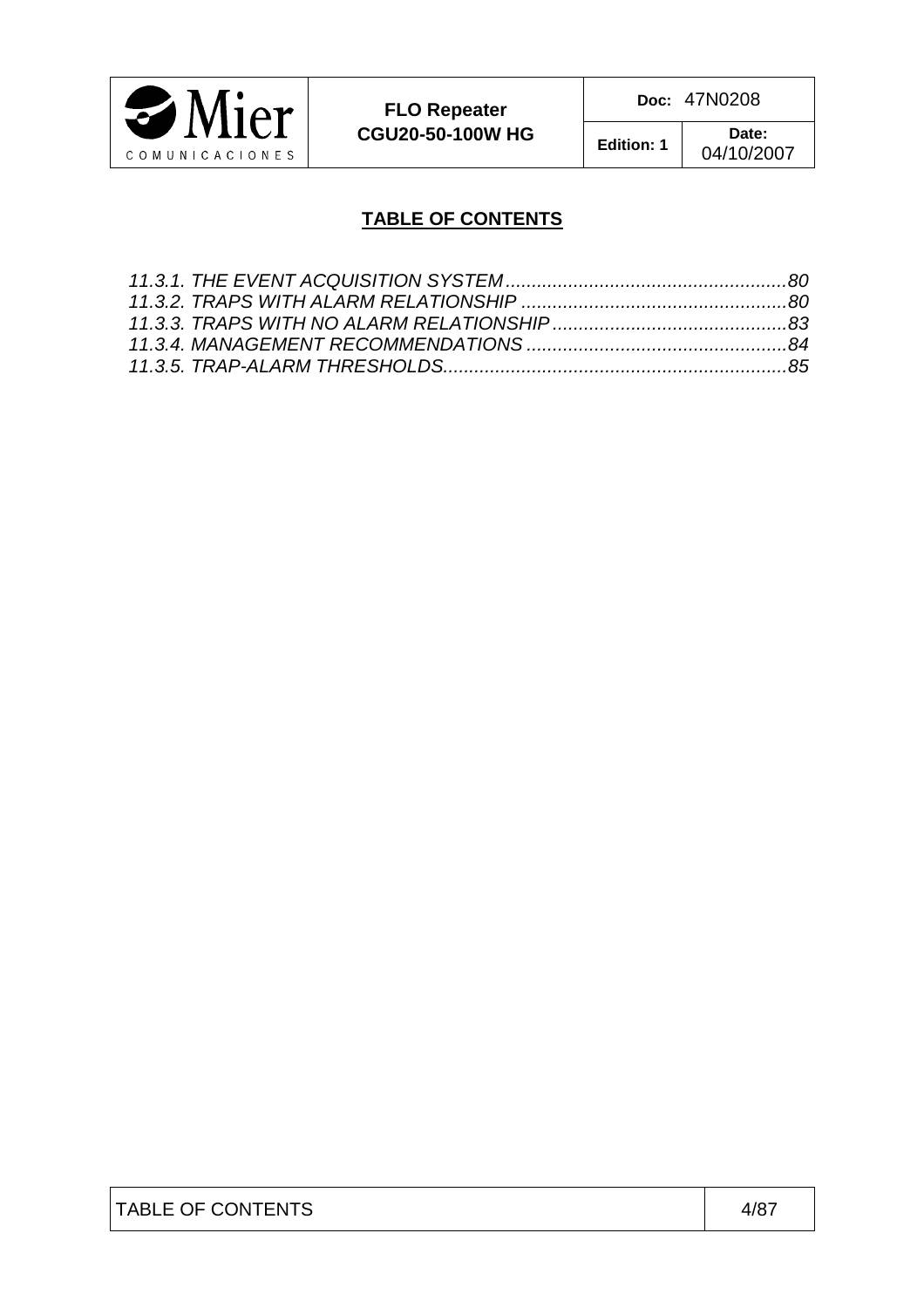

**FLO Repeater CGU20-50-100W HG**  **Doc:** 47N0208

**Edition: 1 Date:** 

04/10/2007

## **TABLE OF CONTENTS**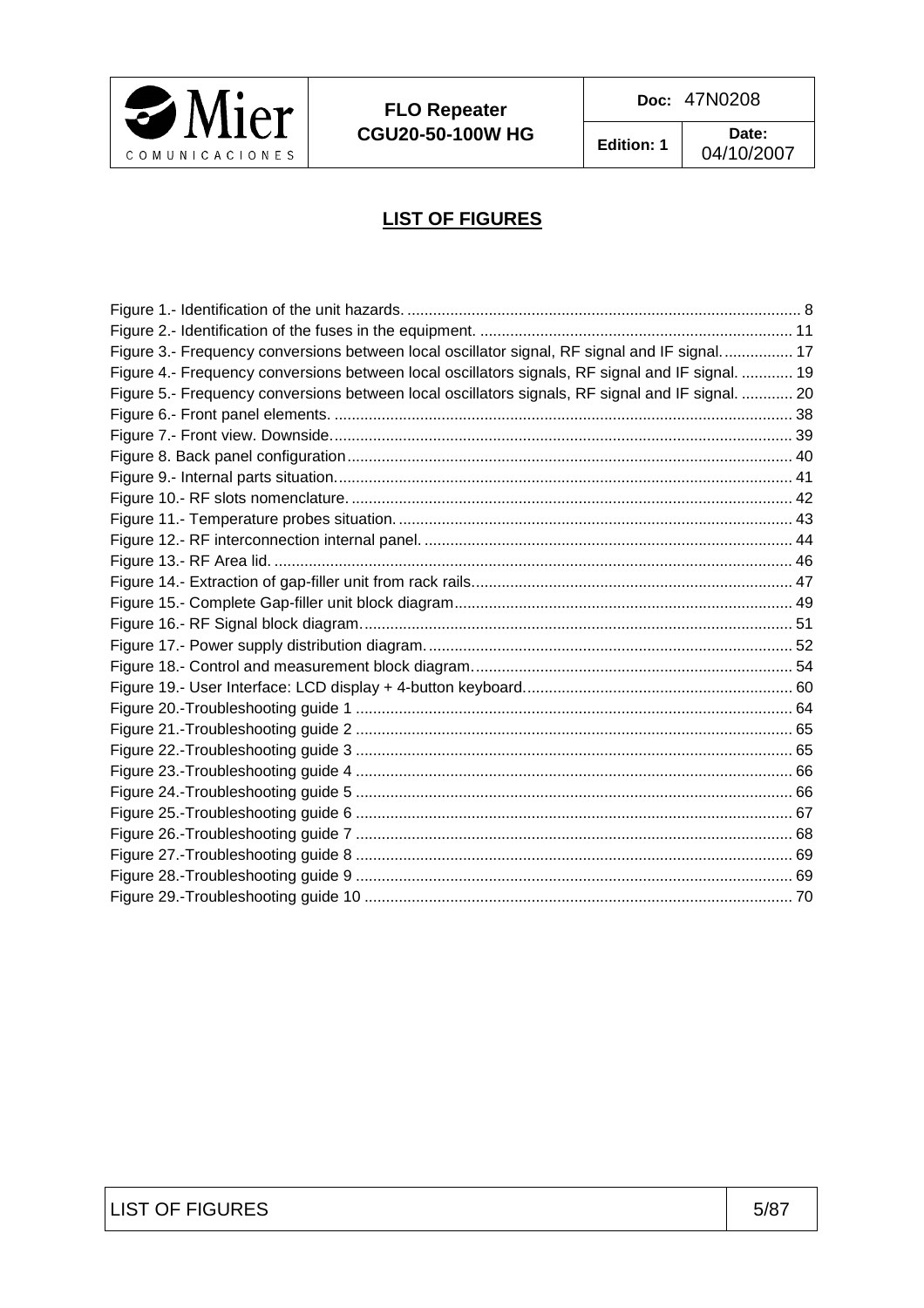

**FLO Repeater CGU20-50-100W HG**  **Doc:** 47N0208

04/10/2007

## **LIST OF FIGURES**

| Figure 3.- Frequency conversions between local oscillator signal, RF signal and IF signal 17     |  |
|--------------------------------------------------------------------------------------------------|--|
| Figure 4.- Frequency conversions between local oscillators signals, RF signal and IF signal.  19 |  |
| Figure 5.- Frequency conversions between local oscillators signals, RF signal and IF signal.  20 |  |
|                                                                                                  |  |
|                                                                                                  |  |
|                                                                                                  |  |
|                                                                                                  |  |
|                                                                                                  |  |
|                                                                                                  |  |
|                                                                                                  |  |
|                                                                                                  |  |
|                                                                                                  |  |
|                                                                                                  |  |
|                                                                                                  |  |
|                                                                                                  |  |
|                                                                                                  |  |
|                                                                                                  |  |
|                                                                                                  |  |
|                                                                                                  |  |
|                                                                                                  |  |
|                                                                                                  |  |
|                                                                                                  |  |
|                                                                                                  |  |
|                                                                                                  |  |
|                                                                                                  |  |
|                                                                                                  |  |
|                                                                                                  |  |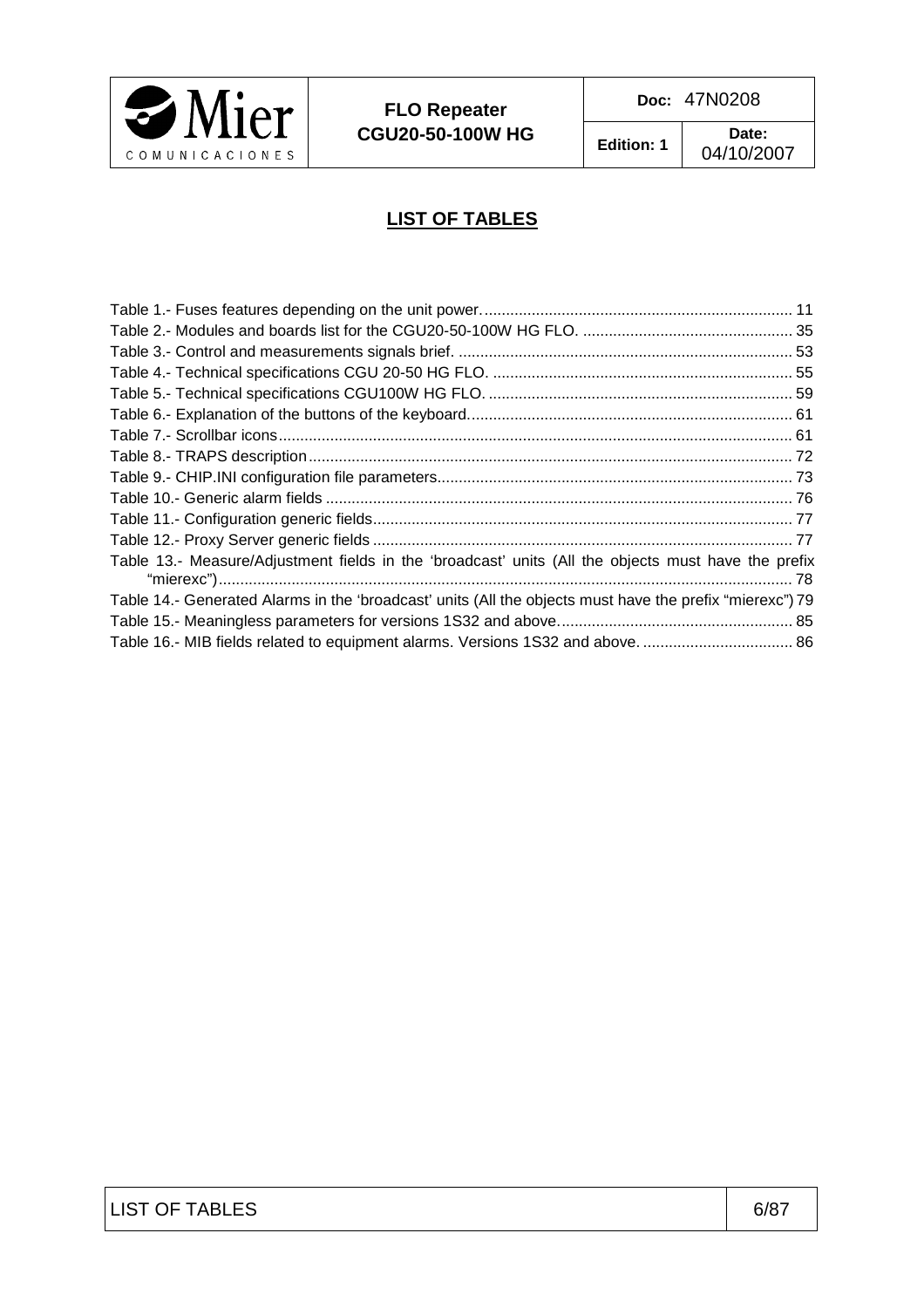

**Edition: 1 Date:** 

04/10/2007

## **LIST OF TABLES**

| Table 13.- Measure/Adjustment fields in the 'broadcast' units (All the objects must have the prefix      |  |
|----------------------------------------------------------------------------------------------------------|--|
| Table 14.- Generated Alarms in the 'broadcast' units (All the objects must have the prefix "mierexc") 79 |  |
|                                                                                                          |  |
| Table 16.- MIB fields related to equipment alarms. Versions 1S32 and above.  86                          |  |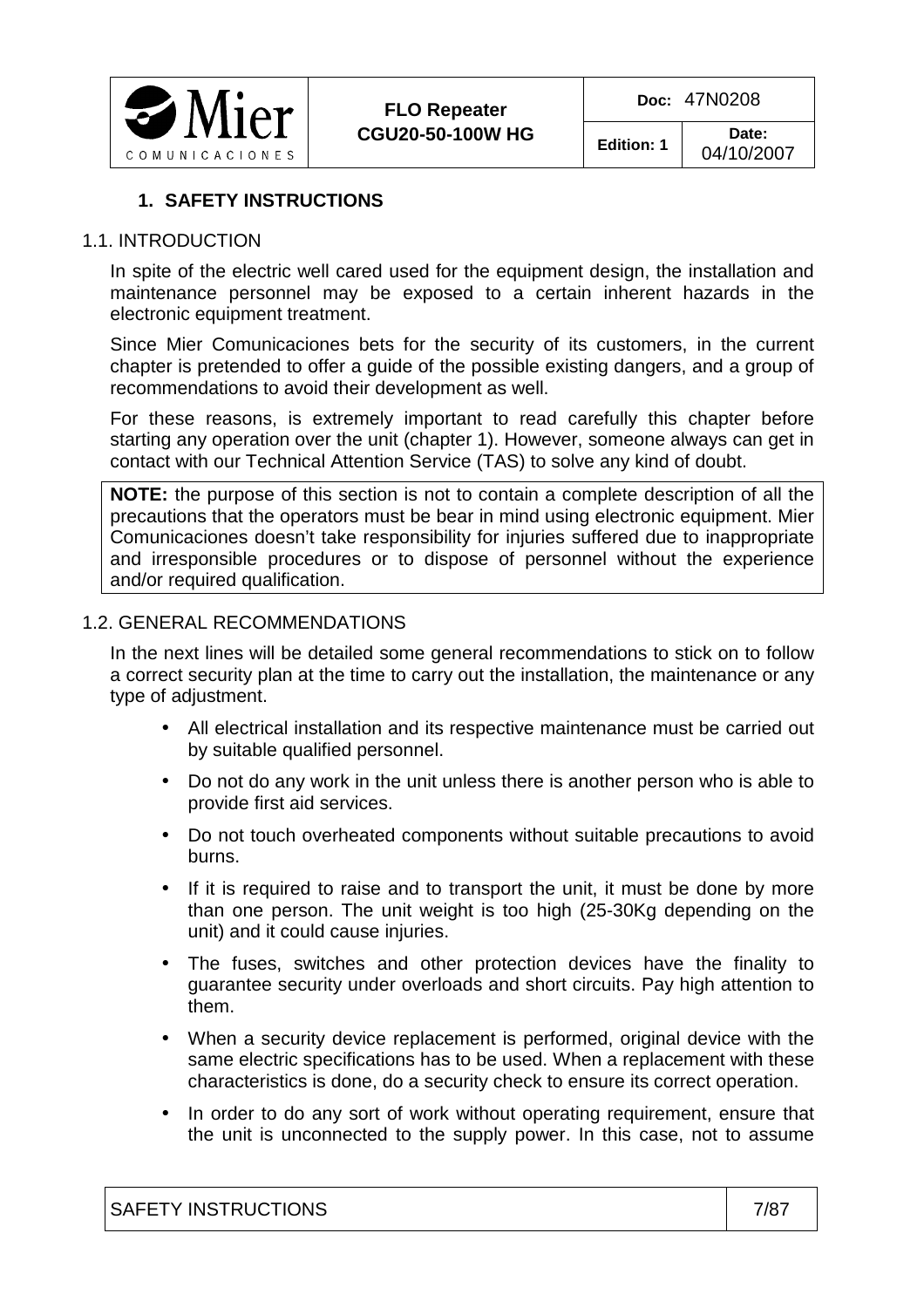

## **1. SAFETY INSTRUCTIONS**

#### 1.1. INTRODUCTION

In spite of the electric well cared used for the equipment design, the installation and maintenance personnel may be exposed to a certain inherent hazards in the electronic equipment treatment.

Since Mier Comunicaciones bets for the security of its customers, in the current chapter is pretended to offer a guide of the possible existing dangers, and a group of recommendations to avoid their development as well.

For these reasons, is extremely important to read carefully this chapter before starting any operation over the unit (chapter 1). However, someone always can get in contact with our Technical Attention Service (TAS) to solve any kind of doubt.

**NOTE:** the purpose of this section is not to contain a complete description of all the precautions that the operators must be bear in mind using electronic equipment. Mier Comunicaciones doesn't take responsibility for injuries suffered due to inappropriate and irresponsible procedures or to dispose of personnel without the experience and/or required qualification.

#### 1.2. GENERAL RECOMMENDATIONS

In the next lines will be detailed some general recommendations to stick on to follow a correct security plan at the time to carry out the installation, the maintenance or any type of adjustment.

- All electrical installation and its respective maintenance must be carried out by suitable qualified personnel.
- Do not do any work in the unit unless there is another person who is able to provide first aid services.
- Do not touch overheated components without suitable precautions to avoid burns.
- If it is required to raise and to transport the unit, it must be done by more than one person. The unit weight is too high (25-30Kg depending on the unit) and it could cause injuries.
- The fuses, switches and other protection devices have the finality to guarantee security under overloads and short circuits. Pay high attention to them.
- When a security device replacement is performed, original device with the same electric specifications has to be used. When a replacement with these characteristics is done, do a security check to ensure its correct operation.
- In order to do any sort of work without operating requirement, ensure that the unit is unconnected to the supply power. In this case, not to assume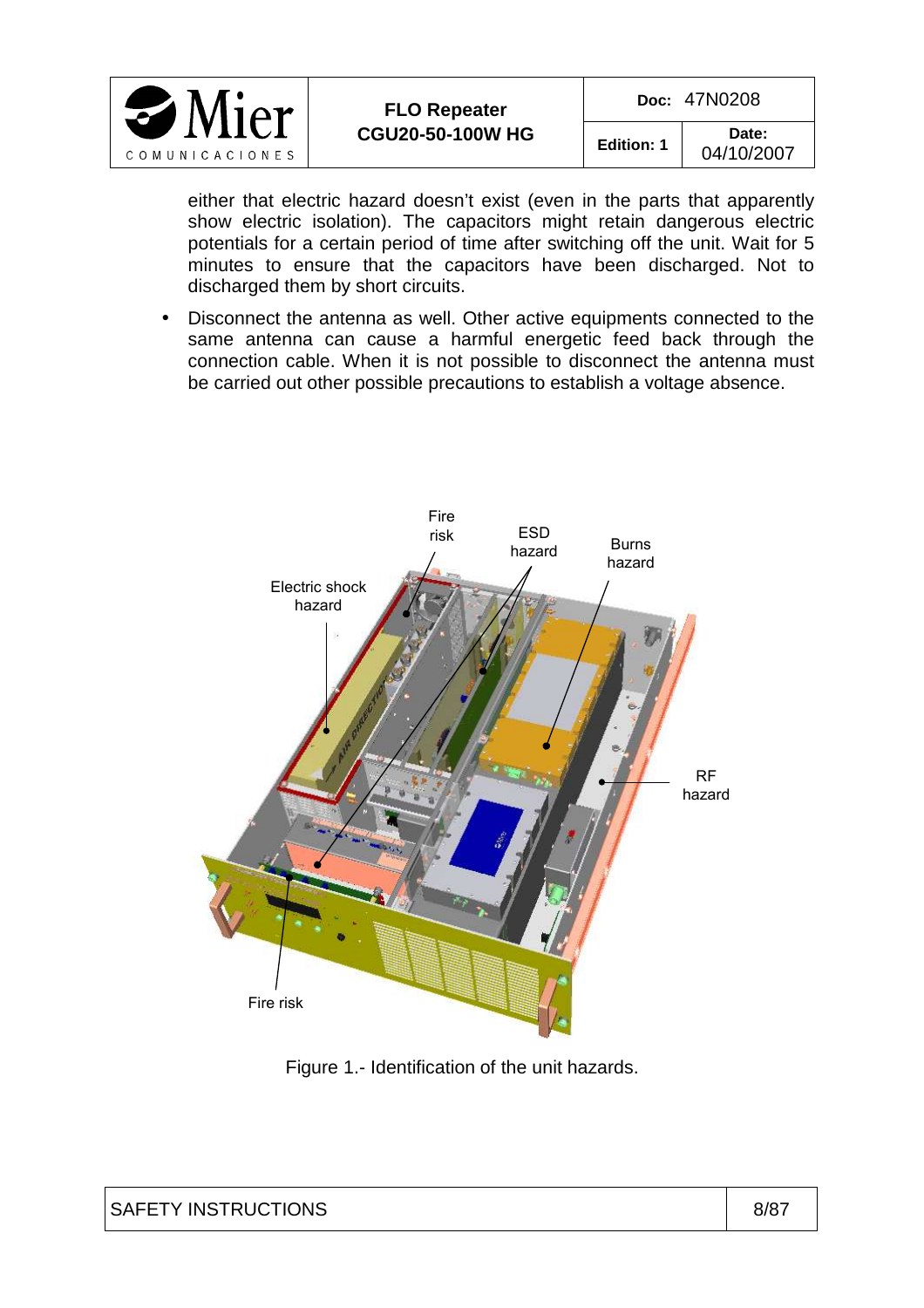

**Edition: 1 Date:**  04/10/2007

either that electric hazard doesn't exist (even in the parts that apparently show electric isolation). The capacitors might retain dangerous electric potentials for a certain period of time after switching off the unit. Wait for 5 minutes to ensure that the capacitors have been discharged. Not to discharged them by short circuits.

• Disconnect the antenna as well. Other active equipments connected to the same antenna can cause a harmful energetic feed back through the connection cable. When it is not possible to disconnect the antenna must be carried out other possible precautions to establish a voltage absence.



Figure 1.- Identification of the unit hazards.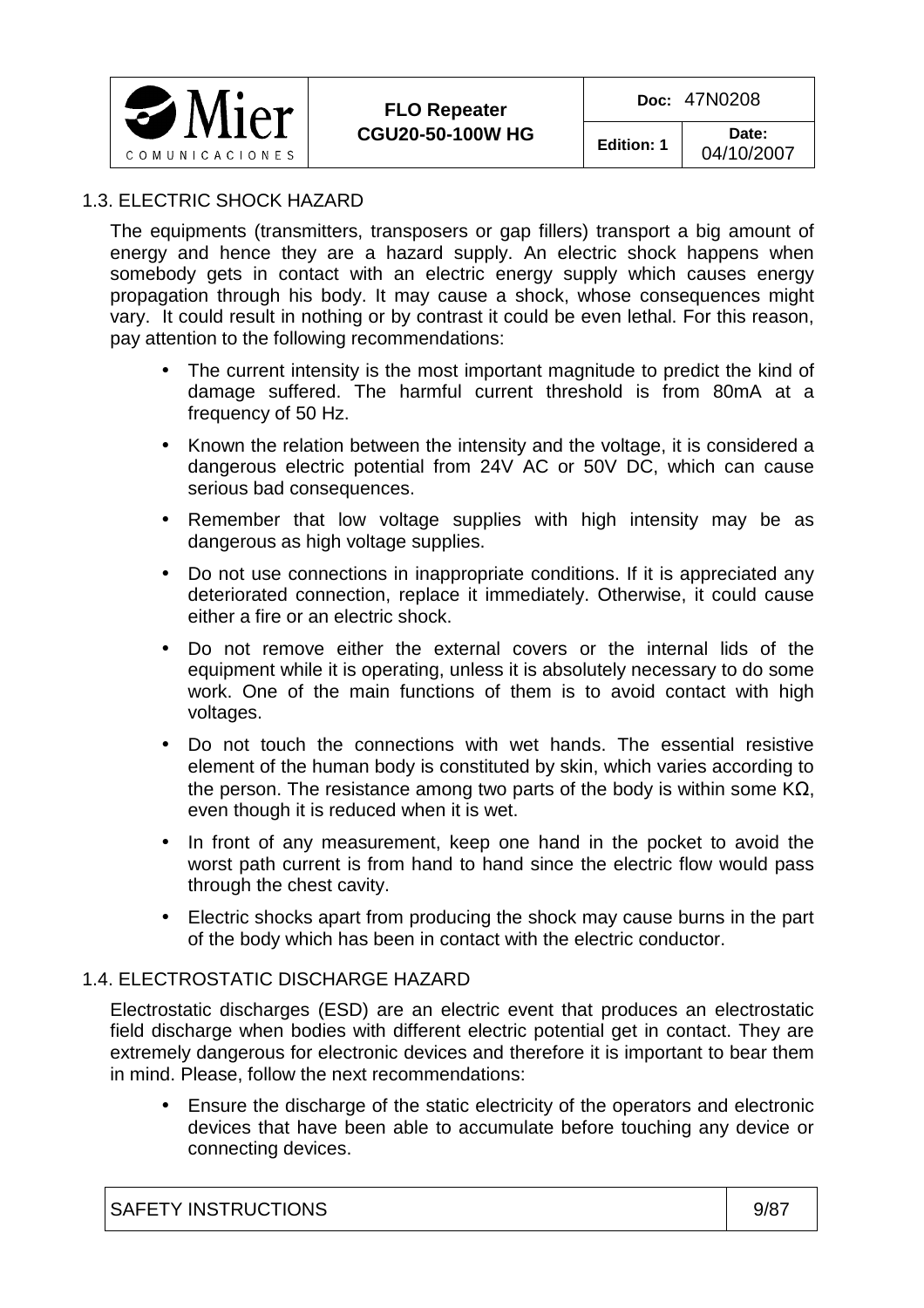

#### 1.3. ELECTRIC SHOCK HAZARD

The equipments (transmitters, transposers or gap fillers) transport a big amount of energy and hence they are a hazard supply. An electric shock happens when somebody gets in contact with an electric energy supply which causes energy propagation through his body. It may cause a shock, whose consequences might vary. It could result in nothing or by contrast it could be even lethal. For this reason, pay attention to the following recommendations:

- The current intensity is the most important magnitude to predict the kind of damage suffered. The harmful current threshold is from 80mA at a frequency of 50 Hz.
- Known the relation between the intensity and the voltage, it is considered a dangerous electric potential from 24V AC or 50V DC, which can cause serious bad consequences.
- Remember that low voltage supplies with high intensity may be as dangerous as high voltage supplies.
- Do not use connections in inappropriate conditions. If it is appreciated any deteriorated connection, replace it immediately. Otherwise, it could cause either a fire or an electric shock.
- Do not remove either the external covers or the internal lids of the equipment while it is operating, unless it is absolutely necessary to do some work. One of the main functions of them is to avoid contact with high voltages.
- Do not touch the connections with wet hands. The essential resistive element of the human body is constituted by skin, which varies according to the person. The resistance among two parts of the body is within some  $KΩ$ , even though it is reduced when it is wet.
- In front of any measurement, keep one hand in the pocket to avoid the worst path current is from hand to hand since the electric flow would pass through the chest cavity.
- Electric shocks apart from producing the shock may cause burns in the part of the body which has been in contact with the electric conductor.

#### 1.4. ELECTROSTATIC DISCHARGE HAZARD

Electrostatic discharges (ESD) are an electric event that produces an electrostatic field discharge when bodies with different electric potential get in contact. They are extremely dangerous for electronic devices and therefore it is important to bear them in mind. Please, follow the next recommendations:

• Ensure the discharge of the static electricity of the operators and electronic devices that have been able to accumulate before touching any device or connecting devices.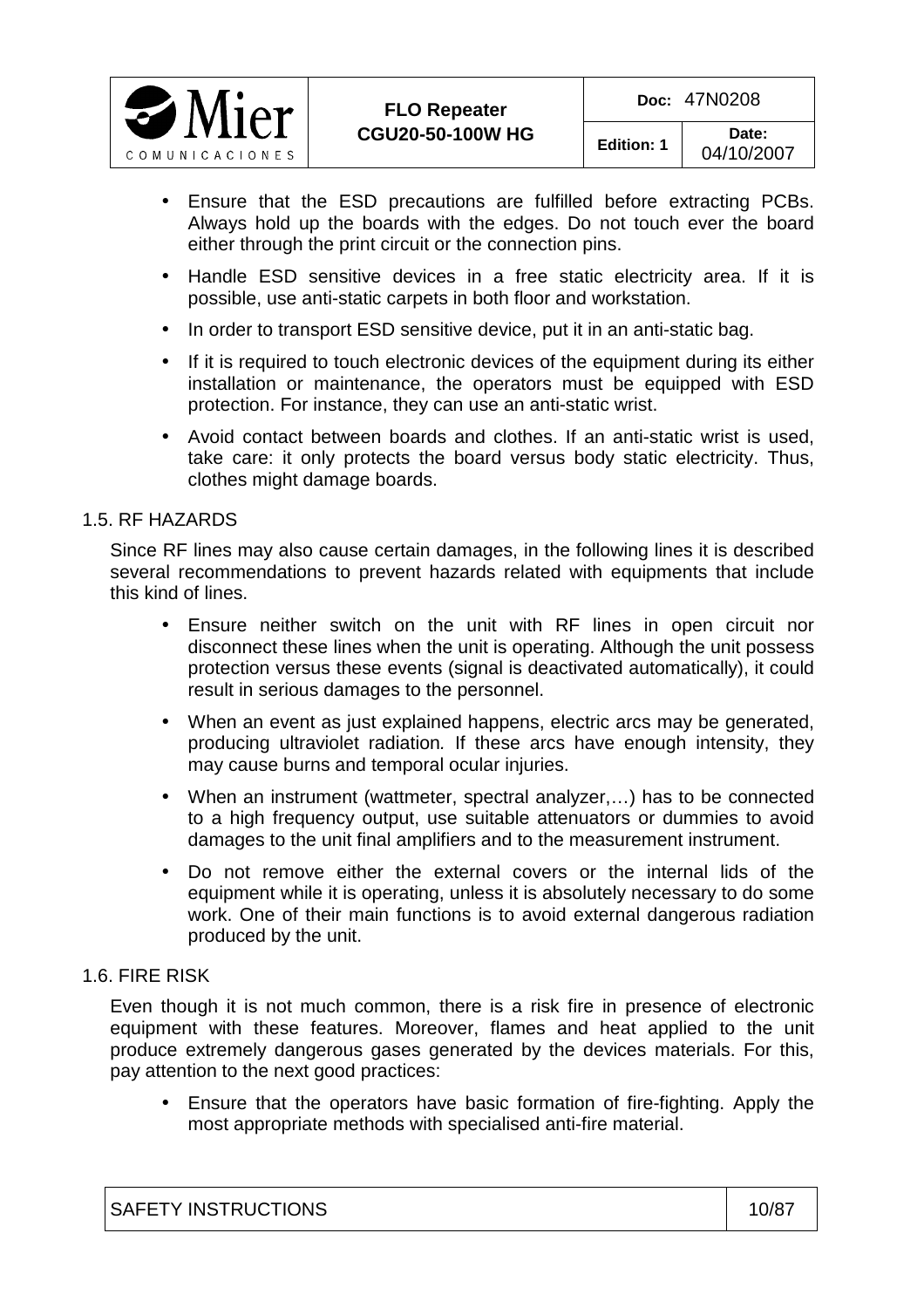

- Ensure that the ESD precautions are fulfilled before extracting PCBs. Always hold up the boards with the edges. Do not touch ever the board either through the print circuit or the connection pins.
- Handle ESD sensitive devices in a free static electricity area. If it is possible, use anti-static carpets in both floor and workstation.
- In order to transport ESD sensitive device, put it in an anti-static bag.
- If it is required to touch electronic devices of the equipment during its either installation or maintenance, the operators must be equipped with ESD protection. For instance, they can use an anti-static wrist.
- Avoid contact between boards and clothes. If an anti-static wrist is used, take care: it only protects the board versus body static electricity. Thus, clothes might damage boards.

#### 1.5. RF HAZARDS

Since RF lines may also cause certain damages, in the following lines it is described several recommendations to prevent hazards related with equipments that include this kind of lines.

- Ensure neither switch on the unit with RF lines in open circuit nor disconnect these lines when the unit is operating. Although the unit possess protection versus these events (signal is deactivated automatically), it could result in serious damages to the personnel.
- When an event as just explained happens, electric arcs may be generated, producing ultraviolet radiation. If these arcs have enough intensity, they may cause burns and temporal ocular injuries.
- When an instrument (wattmeter, spectral analyzer,…) has to be connected to a high frequency output, use suitable attenuators or dummies to avoid damages to the unit final amplifiers and to the measurement instrument.
- Do not remove either the external covers or the internal lids of the equipment while it is operating, unless it is absolutely necessary to do some work. One of their main functions is to avoid external dangerous radiation produced by the unit.

#### 1.6. FIRE RISK

Even though it is not much common, there is a risk fire in presence of electronic equipment with these features. Moreover, flames and heat applied to the unit produce extremely dangerous gases generated by the devices materials. For this, pay attention to the next good practices:

• Ensure that the operators have basic formation of fire-fighting. Apply the most appropriate methods with specialised anti-fire material.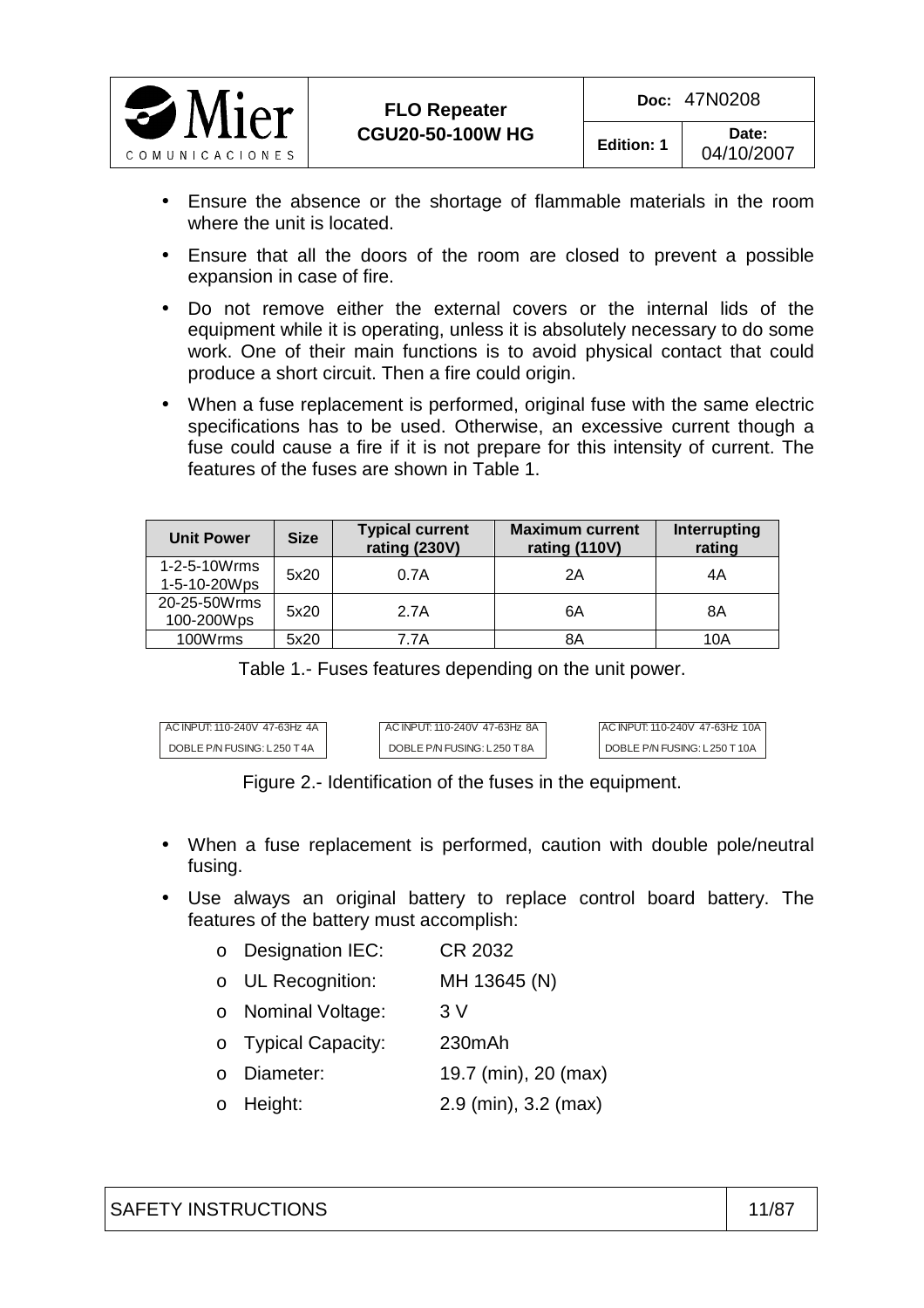

- Ensure the absence or the shortage of flammable materials in the room where the unit is located.
- Ensure that all the doors of the room are closed to prevent a possible expansion in case of fire.
- Do not remove either the external covers or the internal lids of the equipment while it is operating, unless it is absolutely necessary to do some work. One of their main functions is to avoid physical contact that could produce a short circuit. Then a fire could origin.
- When a fuse replacement is performed, original fuse with the same electric specifications has to be used. Otherwise, an excessive current though a fuse could cause a fire if it is not prepare for this intensity of current. The features of the fuses are shown in Table 1.

| <b>Unit Power</b>            | <b>Size</b> | <b>Typical current</b><br>rating (230V) | <b>Maximum current</b><br>rating (110V) | Interrupting<br>rating |
|------------------------------|-------------|-----------------------------------------|-----------------------------------------|------------------------|
| 1-2-5-10Wrms<br>1-5-10-20Wps | 5x20        | 0.7A                                    | 2Α                                      | 4Α                     |
| 20-25-50Wrms<br>100-200Wps   | 5x20        | 2.7A                                    | 6Α                                      | 8Α                     |
| 100Wrms                      | 5x20        | 7.7A                                    | 8Α                                      | 10A                    |

Table 1.- Fuses features depending on the unit power.

| AC INPUT: 110-240V 47-63Hz 4A | AC INPUT: 110-240V 47-63Hz 8A | AC INPUT: 110-240V 47-63Hz 10A |
|-------------------------------|-------------------------------|--------------------------------|
| DOBLE P/N FUSING: L250 T4A    | DOBLE P/N FUSING: L250 T8A    | DOBLE P/N FUSING: L250 T10A    |

Figure 2.- Identification of the fuses in the equipment.

- When a fuse replacement is performed, caution with double pole/neutral fusing.
- Use always an original battery to replace control board battery. The features of the battery must accomplish:
	- o Designation IEC: CR 2032
	- o UL Recognition: MH 13645 (N)
	- o Nominal Voltage: 3 V
	- o Typical Capacity: 230mAh
	- o Diameter: 19.7 (min), 20 (max)
	- o Height: 2.9 (min), 3.2 (max)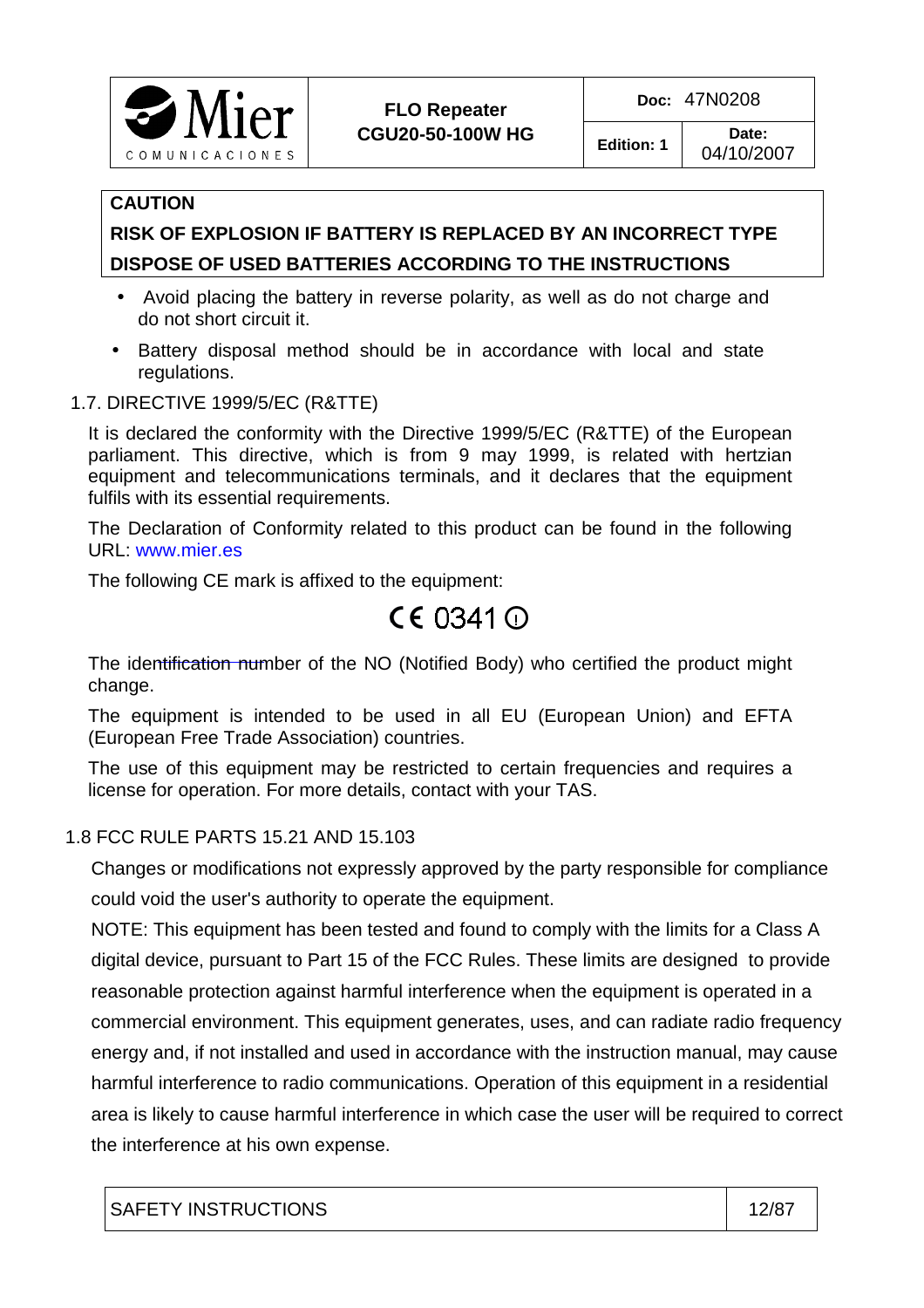

04/10/2007

#### **CAUTION**

## **RISK OF EXPLOSION IF BATTERY IS REPLACED BY AN INCORRECT TYPE DISPOSE OF USED BATTERIES ACCORDING TO THE INSTRUCTIONS**

- Avoid placing the battery in reverse polarity, as well as do not charge and do not short circuit it.
- Battery disposal method should be in accordance with local and state regulations.
- 1.7. DIRECTIVE 1999/5/EC (R&TTE)

It is declared the conformity with the Directive 1999/5/EC (R&TTE) of the European parliament. This directive, which is from 9 may 1999, is related with hertzian equipment and telecommunications terminals, and it declares that the equipment fulfils with its essential requirements.

The Declaration of Conformity related to this product can be found in the following URL: www.mier.es

The following CE mark is affixed to the equipment:

# CE 0341 **○**

The identification number of the NO (Notified Body) who certified the product might change.

The equipment is intended to be used in all EU (European Union) and EFTA (European Free Trade Association) countries.

The use of this equipment may be restricted to certain frequencies and requires a license for operation. For more details, contact with your TAS.

#### 1.8 FCC RULE PARTS 15.21 AND 15.103

 Changes or modifications not expressly approved by the party responsible for compliance could void the user's authority to operate the equipment.

 NOTE: This equipment has been tested and found to comply with the limits for a Class A digital device, pursuant to Part 15 of the FCC Rules. These limits are designed to provide reasonable protection against harmful interference when the equipment is operated in a commercial environment. This equipment generates, uses, and can radiate radio frequency energy and, if not installed and used in accordance with the instruction manual, may cause harmful interference to radio communications. Operation of this equipment in a residential area is likely to cause harmful interference in which case the user will be required to correct the interference at his own expense.